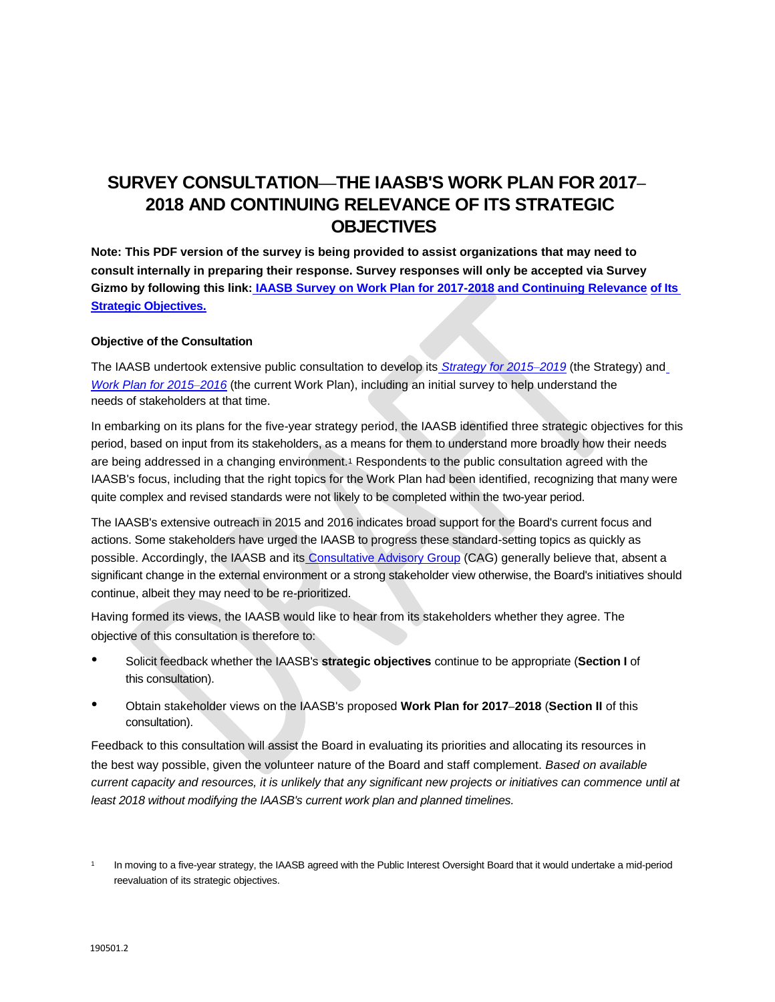**Note: This PDF version of the survey is being provided to assist organizations that may need to consult internally in preparing their response. Survey responses will only be accepted via Survey Gizmo by following this link: [IAASB Survey on Work Plan for 2017-2018 and Continuing Relevance](http://www.surveygizmo.com/s3/2942908/fd0963388e87) [of Its](http://www.surveygizmo.com/s3/2942908/fd0963388e87)  [Strategic Objectives.](http://www.surveygizmo.com/s3/2942908/fd0963388e87)**

# **Objective of the Consultation**

The IAASB undertook extensive public consultation to develop its *[Strategy for 2015](http://www.ifac.org/publications-resources/iaasb-strategy-2015-2019)‒2019* (the Strategy) an[d](http://www.ifac.org/publications-resources/iaasb-work-plan-2015-2016) *[Work Plan for 2015](http://www.ifac.org/publications-resources/iaasb-work-plan-2015-2016)-2016* (the current Work Plan), including an initial survey to help understand the needs of stakeholders at that time.

In embarking on its plans for the five-year strategy period, the IAASB identified three strategic objectives for this period, based on input from its stakeholders, as a means for them to understand more broadly how their needs are being addressed in a changing environment.<sup>1</sup> Respondents to the public consultation agreed with the IAASB's focus, including that the right topics for the Work Plan had been identified, recognizing that many were quite complex and revised standards were not likely to be completed within the two-year period.

The IAASB's extensive outreach in 2015 and 2016 indicates broad support for the Board's current focus and actions. Some stakeholders have urged the IAASB to progress these standard-setting topics as quickly as possible. Accordingly, the IAASB and its [Consultative Advisory Group](http://www.iaasb.org/cag) (CAG) generally believe that, absent a significant change in the external environment or a strong stakeholder view otherwise, the Board's initiatives should continue, albeit they may need to be re-prioritized.

Having formed its views, the IAASB would like to hear from its stakeholders whether they agree. The objective of this consultation is therefore to:

- Solicit feedback whether the IAASB's **strategic objectives** continue to be appropriate (**Section I** of this consultation).
- Obtain stakeholder views on the IAASB's proposed **Work Plan for 2017‒<sup>2018</sup>** (**Section II** of this consultation).

Feedback to this consultation will assist the Board in evaluating its priorities and allocating its resources in the best way possible, given the volunteer nature of the Board and staff complement. *Based on available current capacity and resources, it is unlikely that any significant new projects or initiatives can commence until at least 2018 without modifying the IAASB's current work plan and planned timelines.* 

<sup>1</sup> In moving to a five-year strategy, the IAASB agreed with the Public Interest Oversight Board that it would undertake a mid-period reevaluation of its strategic objectives.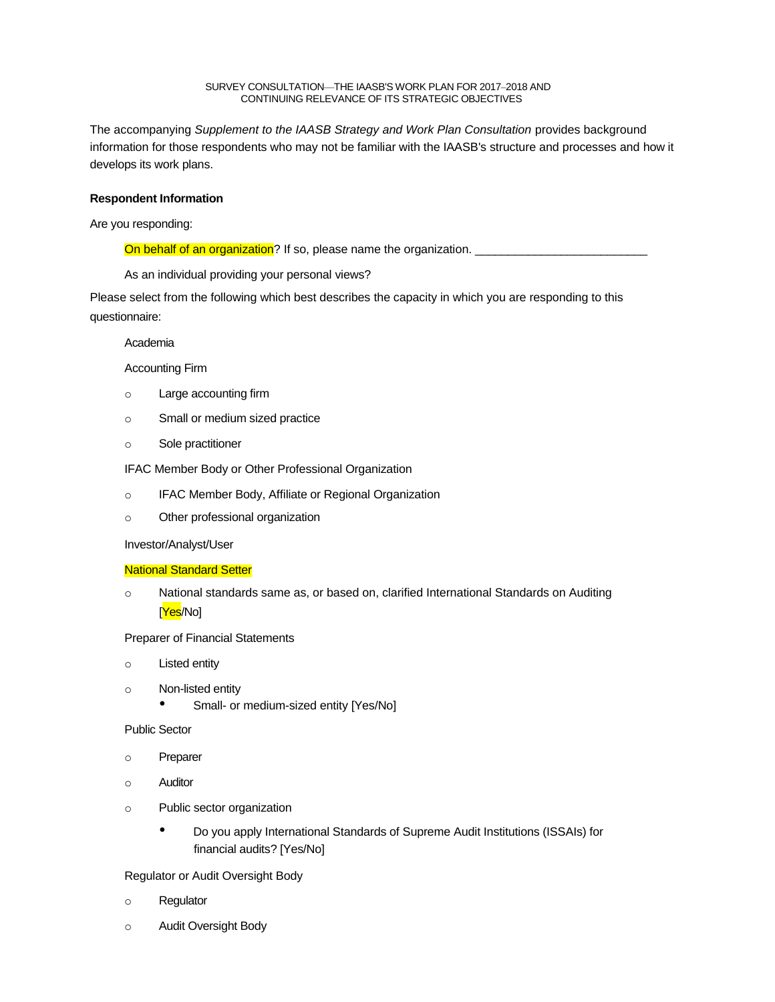The accompanying *Supplement to the IAASB Strategy and Work Plan Consultation* provides background information for those respondents who may not be familiar with the IAASB's structure and processes and how it develops its work plans.

# **Respondent Information**

Are you responding:

On behalf of an organization? If so, please name the organization.

As an individual providing your personal views?

Please select from the following which best describes the capacity in which you are responding to this questionnaire:

## Academia

# Accounting Firm

- o Large accounting firm
- o Small or medium sized practice
- o Sole practitioner

IFAC Member Body or Other Professional Organization

- o IFAC Member Body, Affiliate or Regional Organization
- o Other professional organization

## Investor/Analyst/User

## National Standard Setter

o National standards same as, or based on, clarified International Standards on Auditing [<mark>Yes</mark>/No]

Preparer of Financial Statements

- o Listed entity
- o Non-listed entity
	- Small- or medium-sized entity [Yes/No]

Public Sector

- o Preparer
- o Auditor
- o Public sector organization
	- Do you apply International Standards of Supreme Audit Institutions (ISSAIs) for financial audits? [Yes/No]

Regulator or Audit Oversight Body

- o Regulator
- o Audit Oversight Body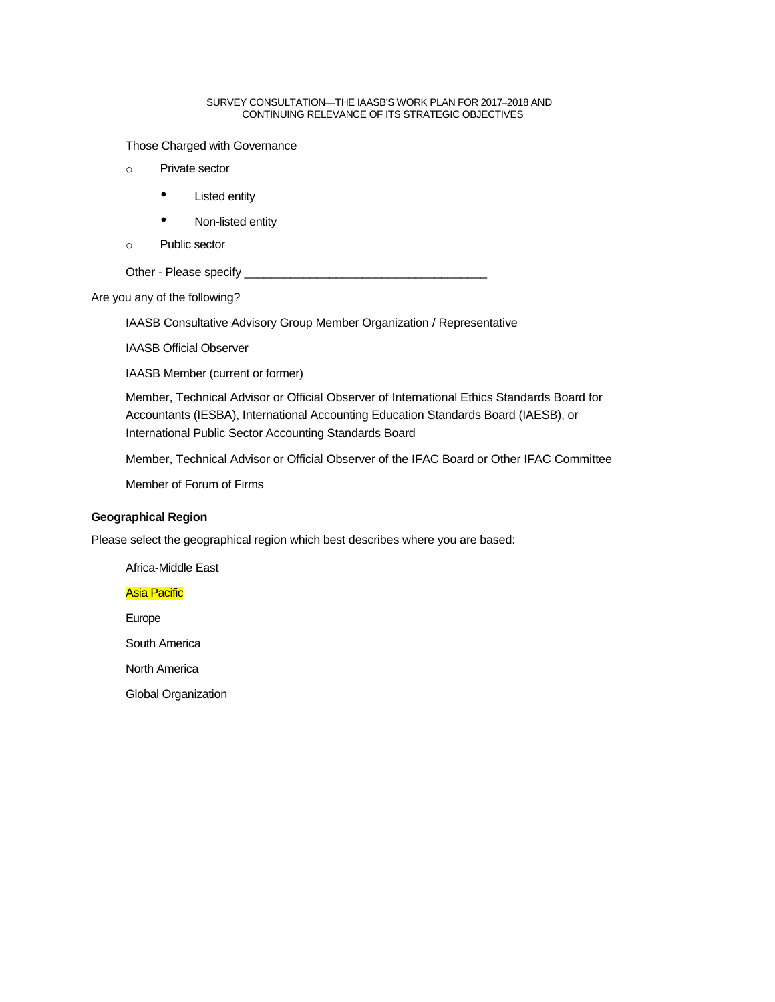Those Charged with Governance

- o Private sector
	- Listed entity
	- Non-listed entity
- o Public sector

Other - Please specify \_\_\_\_\_\_\_\_\_\_\_\_\_\_\_\_\_\_\_\_\_\_\_\_\_\_\_\_\_\_\_\_\_\_\_\_\_

Are you any of the following?

IAASB Consultative Advisory Group Member Organization / Representative

IAASB Official Observer

IAASB Member (current or former)

Member, Technical Advisor or Official Observer of International Ethics Standards Board for Accountants (IESBA), International Accounting Education Standards Board (IAESB), or International Public Sector Accounting Standards Board

Member, Technical Advisor or Official Observer of the IFAC Board or Other IFAC Committee

Member of Forum of Firms

# **Geographical Region**

Please select the geographical region which best describes where you are based:

# Africa-Middle East

# Asia Pacific

Europe

South America

North America

Global Organization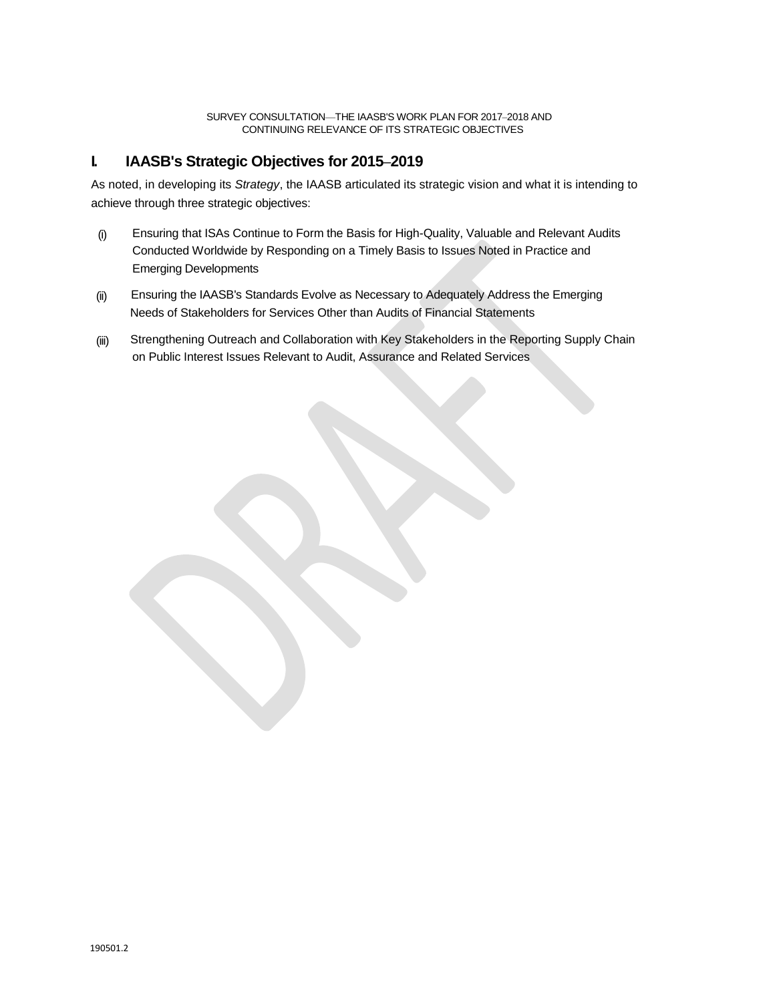# **I. IAASB's Strategic Objectives for 2015‒2019**

As noted, in developing its *Strategy*, the IAASB articulated its strategic vision and what it is intending to achieve through three strategic objectives:

- (i) Ensuring that ISAs Continue to Form the Basis for High-Quality, Valuable and Relevant Audits Conducted Worldwide by Responding on a Timely Basis to Issues Noted in Practice and Emerging Developments
- (ii) Ensuring the IAASB's Standards Evolve as Necessary to Adequately Address the Emerging Needs of Stakeholders for Services Other than Audits of Financial Statements
- (iii) Strengthening Outreach and Collaboration with Key Stakeholders in the Reporting Supply Chain on Public Interest Issues Relevant to Audit, Assurance and Related Services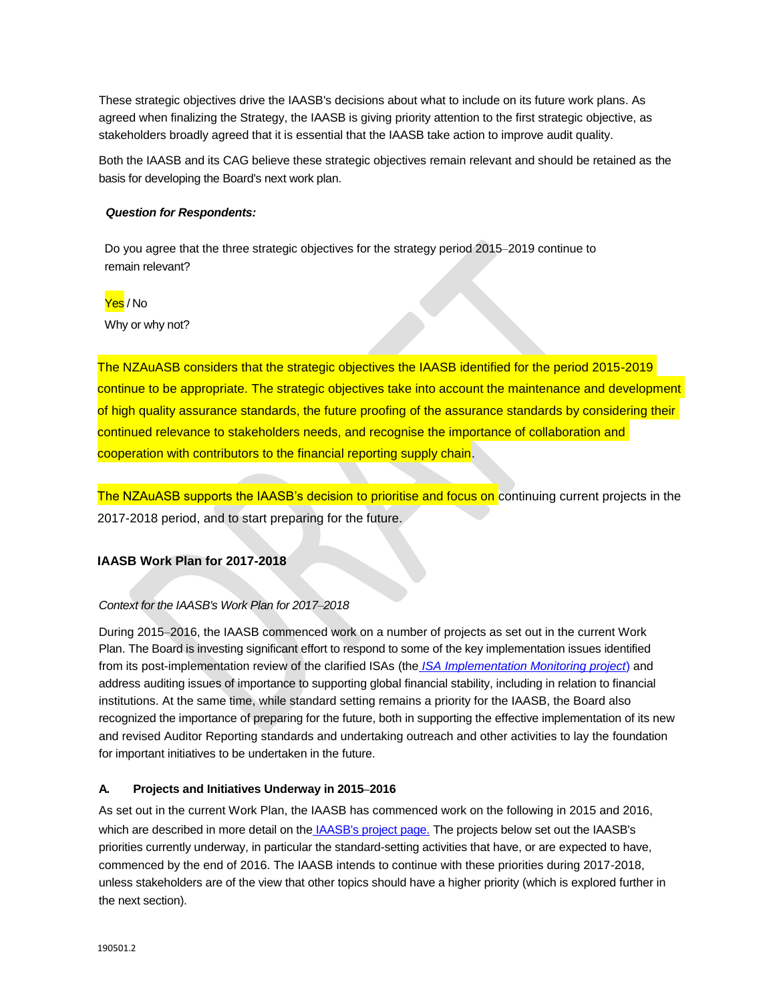These strategic objectives drive the IAASB's decisions about what to include on its future work plans. As agreed when finalizing the Strategy, the IAASB is giving priority attention to the first strategic objective, as stakeholders broadly agreed that it is essential that the IAASB take action to improve audit quality.

Both the IAASB and its CAG believe these strategic objectives remain relevant and should be retained as the basis for developing the Board's next work plan.

## *Question for Respondents:*

Do you agree that the three strategic objectives for the strategy period 2015-2019 continue to remain relevant?

## Yes / No

Why or why not?

The NZAuASB considers that the strategic objectives the IAASB identified for the period 2015-2019 continue to be appropriate. The strategic objectives take into account the maintenance and development of high quality assurance standards, the future proofing of the assurance standards by considering their continued relevance to stakeholders needs, and recognise the importance of collaboration and cooperation with contributors to the financial reporting supply chain.

The NZAuASB supports the IAASB's decision to prioritise and focus on continuing current projects in the 2017-2018 period, and to start preparing for the future.

# **IAASB Work Plan for 2017-2018**

## *Context for the IAASB's Work Plan for 2017‒2018*

During 2015–2016, the IAASB commenced work on a number of projects as set out in the current Work Plan. The Board is investing significant effort to respond to some of the key implementation issues identified from its post-implementation review of the clarified ISAs (the *[ISA Implementation Monitoring project](https://www.ifac.org/publications-resources/clarified-isas-findings-post-implementation-review)*) and address auditing issues of importance to supporting global financial stability, including in relation to financial institutions. At the same time, while standard setting remains a priority for the IAASB, the Board also recognized the importance of preparing for the future, both in supporting the effective implementation of its new and revised Auditor Reporting standards and undertaking outreach and other activities to lay the foundation for important initiatives to be undertaken in the future.

## **A. Projects and Initiatives Underway in 2015‒2016**

As set out in the current Work Plan, the IAASB has commenced work on the following in 2015 and 2016, which are described in more detail on the [IAASB's project page.](http://www.iaasb.org/projects) The projects below set out the IAASB's priorities currently underway, in particular the standard-setting activities that have, or are expected to have, commenced by the end of 2016. The IAASB intends to continue with these priorities during 2017-2018, unless stakeholders are of the view that other topics should have a higher priority (which is explored further in the next section).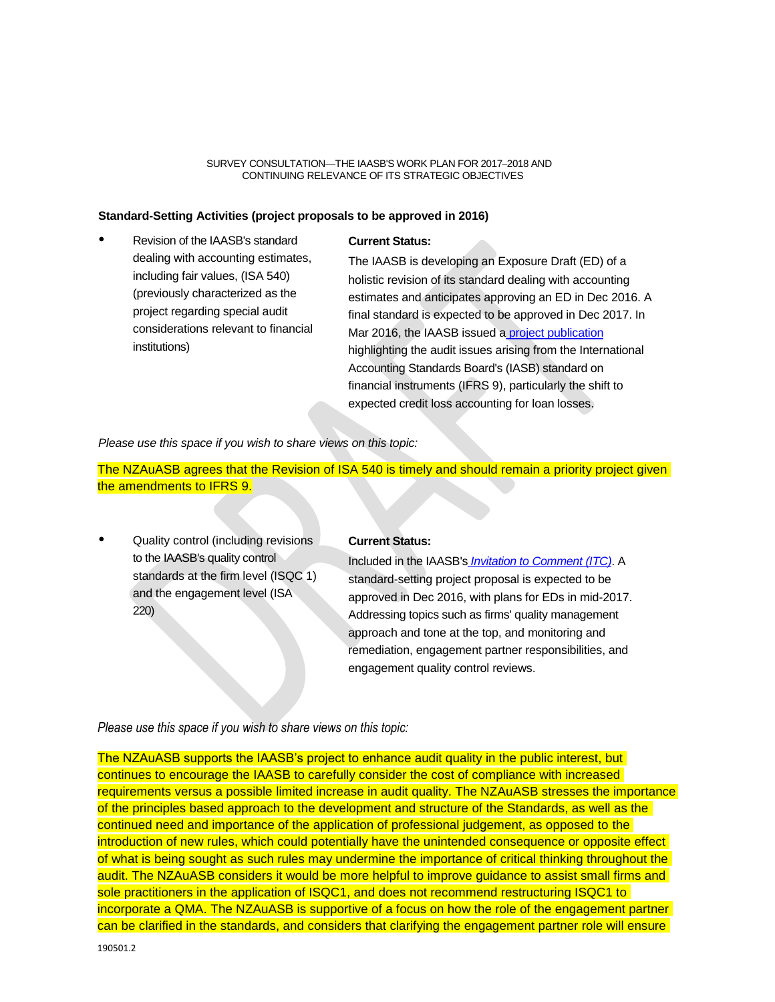## **Standard-Setting Activities (project proposals to be approved in 2016)**

• Revision of the IAASB's standard dealing with accounting estimates, including fair values, (ISA 540) (previously characterized as the project regarding special audit considerations relevant to financial institutions)

#### **Current Status:**

The IAASB is developing an Exposure Draft (ED) of a holistic revision of its standard dealing with accounting estimates and anticipates approving an ED in Dec 2016. A final standard is expected to be approved in Dec 2017. In Mar 2016, the IAASB issued a [project publication](http://www.ifac.org/system/files/publications/files/IAASB-ISA-540-Project-Publication.pdf) highlighting the audit issues arising from the International Accounting Standards Board's (IASB) standard on financial instruments (IFRS 9), particularly the shift to expected credit loss accounting for loan losses.

*Please use this space if you wish to share views on this topic:* 

The NZAuASB agrees that the Revision of ISA 540 is timely and should remain a priority project given the amendments to IFRS 9.

• Quality control (including revisions to the IAASB's quality control standards at the firm level (ISQC 1) and the engagement level (ISA 220)

#### **Current Status:**

Included in the IAASB's *[Invitation to Comment \(ITC\)](https://www.ifac.org/publications-resources/invitation-comment-enhancing-audit-quality-public-interest)*. A standard-setting project proposal is expected to be approved in Dec 2016, with plans for EDs in mid-2017. Addressing topics such as firms' quality management approach and tone at the top, and monitoring and remediation, engagement partner responsibilities, and engagement quality control reviews.

## *Please use this space if you wish to share views on this topic:*

The NZAuASB supports the IAASB's project to enhance audit quality in the public interest, but continues to encourage the IAASB to carefully consider the cost of compliance with increased requirements versus a possible limited increase in audit quality. The NZAuASB stresses the importance of the principles based approach to the development and structure of the Standards, as well as the continued need and importance of the application of professional judgement, as opposed to the introduction of new rules, which could potentially have the unintended consequence or opposite effect of what is being sought as such rules may undermine the importance of critical thinking throughout the audit. The NZAuASB considers it would be more helpful to improve guidance to assist small firms and sole practitioners in the application of ISQC1, and does not recommend restructuring ISQC1 to incorporate a QMA. The NZAuASB is supportive of a focus on how the role of the engagement partner can be clarified in the standards, and considers that clarifying the engagement partner role will ensure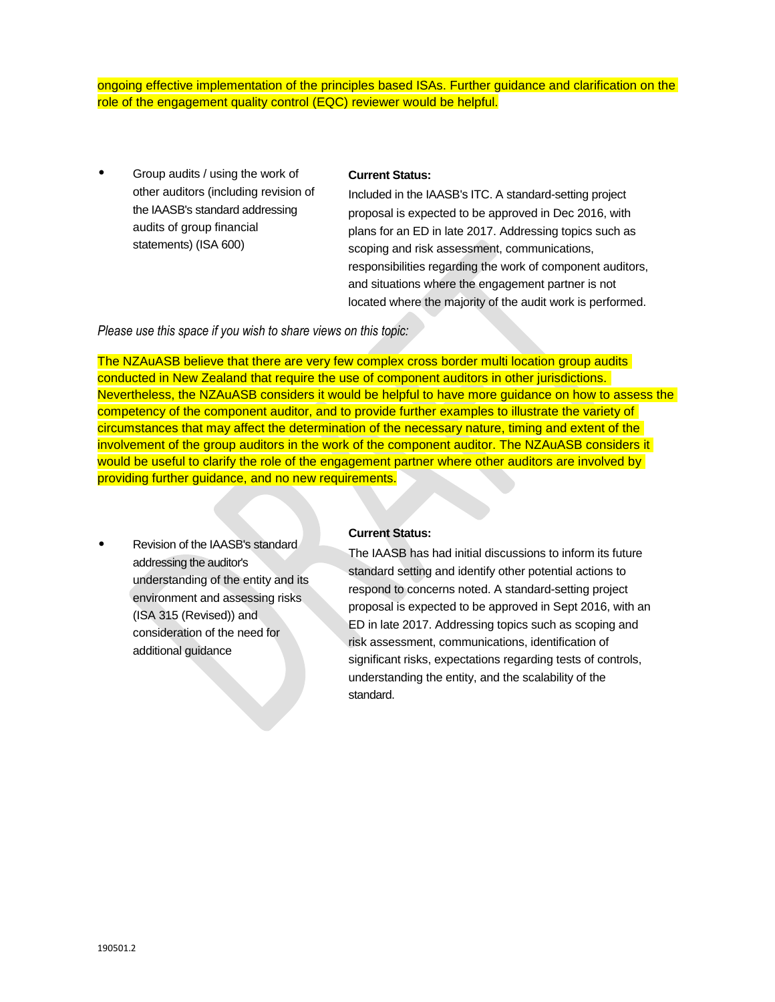ongoing effective implementation of the principles based ISAs. Further guidance and clarification on the role of the engagement quality control (EQC) reviewer would be helpful.

• Group audits / using the work of other auditors (including revision of the IAASB's standard addressing audits of group financial statements) (ISA 600)

# **Current Status:**

Included in the IAASB's ITC. A standard-setting project proposal is expected to be approved in Dec 2016, with plans for an ED in late 2017. Addressing topics such as scoping and risk assessment, communications, responsibilities regarding the work of component auditors, and situations where the engagement partner is not located where the majority of the audit work is performed.

*Please use this space if you wish to share views on this topic:*

The NZAuASB believe that there are very few complex cross border multi location group audits conducted in New Zealand that require the use of component auditors in other jurisdictions. Nevertheless, the NZAuASB considers it would be helpful to have more guidance on how to assess the competency of the component auditor, and to provide further examples to illustrate the variety of circumstances that may affect the determination of the necessary nature, timing and extent of the involvement of the group auditors in the work of the component auditor. The NZAuASB considers it would be useful to clarify the role of the engagement partner where other auditors are involved by providing further guidance, and no new requirements.

• Revision of the IAASB's standard addressing the auditor's understanding of the entity and its environment and assessing risks (ISA 315 (Revised)) and consideration of the need for additional guidance

# **Current Status:**

The IAASB has had initial discussions to inform its future standard setting and identify other potential actions to respond to concerns noted. A standard-setting project proposal is expected to be approved in Sept 2016, with an ED in late 2017. Addressing topics such as scoping and risk assessment, communications, identification of significant risks, expectations regarding tests of controls, understanding the entity, and the scalability of the standard.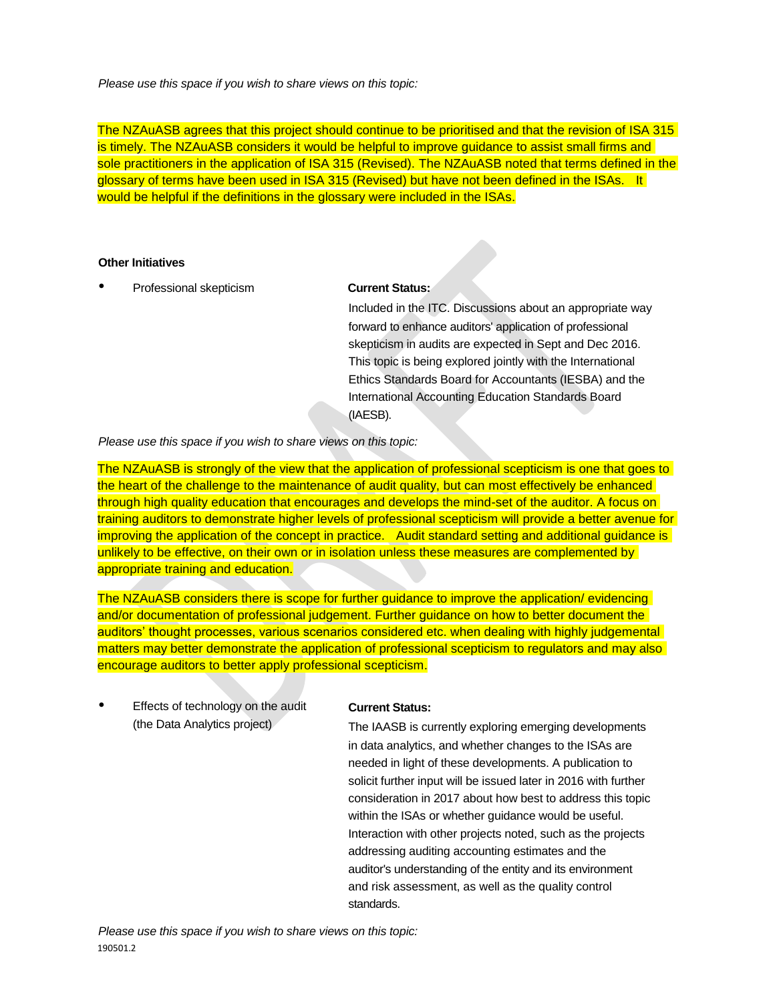*Please use this space if you wish to share views on this topic:*

The NZAuASB agrees that this project should continue to be prioritised and that the revision of ISA 315 is timely. The NZAuASB considers it would be helpful to improve guidance to assist small firms and sole practitioners in the application of ISA 315 (Revised). The NZAuASB noted that terms defined in the glossary of terms have been used in ISA 315 (Revised) but have not been defined in the ISAs. It would be helpful if the definitions in the glossary were included in the ISAs.

# **Other Initiatives**

• Professional skepticism **Current Status:** 

Included in the ITC. Discussions about an appropriate way forward to enhance auditors' application of professional skepticism in audits are expected in Sept and Dec 2016. This topic is being explored jointly with the International Ethics Standards Board for Accountants (IESBA) and the International Accounting Education Standards Board (IAESB).

*Please use this space if you wish to share views on this topic:* 

The NZAuASB is strongly of the view that the application of professional scepticism is one that goes to the heart of the challenge to the maintenance of audit quality, but can most effectively be enhanced through high quality education that encourages and develops the mind-set of the auditor. A focus on training auditors to demonstrate higher levels of professional scepticism will provide a better avenue for improving the application of the concept in practice. Audit standard setting and additional guidance is unlikely to be effective, on their own or in isolation unless these measures are complemented by appropriate training and education.

The NZAuASB considers there is scope for further guidance to improve the application/ evidencing and/or documentation of professional judgement. Further guidance on how to better document the auditors' thought processes, various scenarios considered etc. when dealing with highly judgemental matters may better demonstrate the application of professional scepticism to regulators and may also encourage auditors to better apply professional scepticism.

• Effects of technology on the audit (the Data Analytics project)

# **Current Status:**

The IAASB is currently exploring emerging developments in data analytics, and whether changes to the ISAs are needed in light of these developments. A publication to solicit further input will be issued later in 2016 with further consideration in 2017 about how best to address this topic within the ISAs or whether guidance would be useful. Interaction with other projects noted, such as the projects addressing auditing accounting estimates and the auditor's understanding of the entity and its environment and risk assessment, as well as the quality control standards.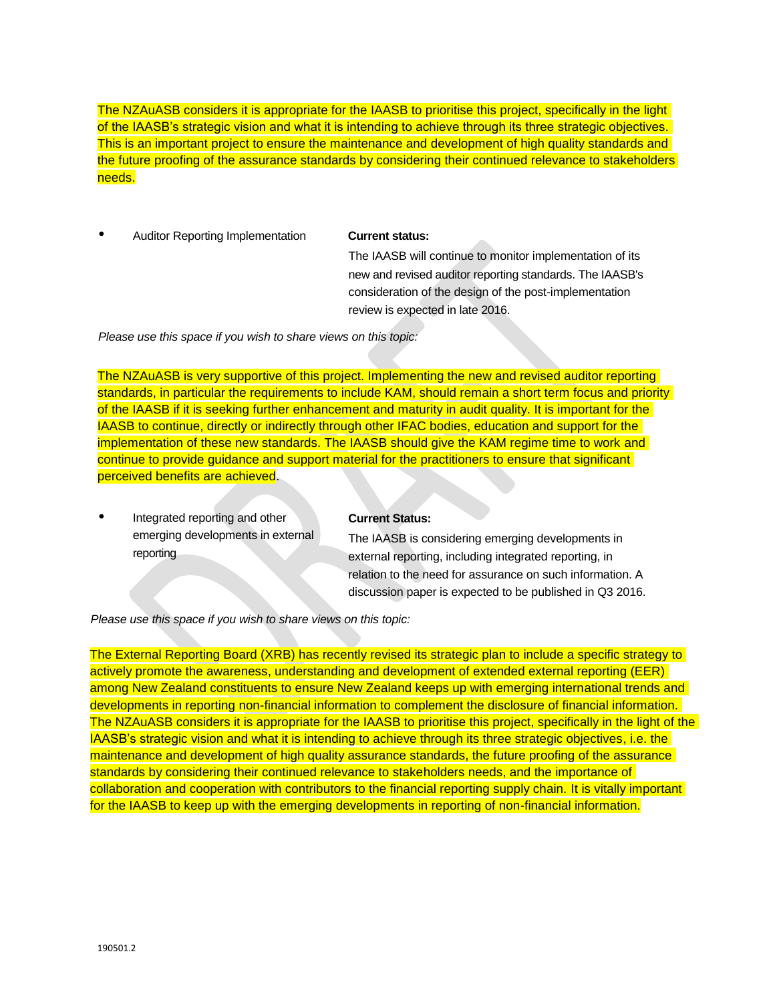The NZAuASB considers it is appropriate for the IAASB to prioritise this project, specifically in the light of the IAASB's strategic vision and what it is intending to achieve through its three strategic objectives. This is an important project to ensure the maintenance and development of high quality standards and the future proofing of the assurance standards by considering their continued relevance to stakeholders needs.

• Auditor Reporting Implementation **Current status:** 

The IAASB will continue to monitor implementation of its new and revised auditor reporting standards. The IAASB's consideration of the design of the post-implementation review is expected in late 2016.

*Please use this space if you wish to share views on this topic:*

The NZAuASB is very supportive of this project. Implementing the new and revised auditor reporting standards, in particular the requirements to include KAM, should remain a short term focus and priority of the IAASB if it is seeking further enhancement and maturity in audit quality. It is important for the IAASB to continue, directly or indirectly through other IFAC bodies, education and support for the implementation of these new standards. The IAASB should give the KAM regime time to work and continue to provide guidance and support material for the practitioners to ensure that significant perceived benefits are achieved.

• Integrated reporting and other emerging developments in external reporting

# **Current Status:**

The IAASB is considering emerging developments in external reporting, including integrated reporting, in relation to the need for assurance on such information. A discussion paper is expected to be published in Q3 2016.

*Please use this space if you wish to share views on this topic:* 

The External Reporting Board (XRB) has recently revised its strategic plan to include a specific strategy to actively promote the awareness, understanding and development of extended external reporting (EER) among New Zealand constituents to ensure New Zealand keeps up with emerging international trends and developments in reporting non-financial information to complement the disclosure of financial information. The NZAuASB considers it is appropriate for the IAASB to prioritise this project, specifically in the light of the IAASB's strategic vision and what it is intending to achieve through its three strategic objectives, i.e. the maintenance and development of high quality assurance standards, the future proofing of the assurance standards by considering their continued relevance to stakeholders needs, and the importance of collaboration and cooperation with contributors to the financial reporting supply chain. It is vitally important for the IAASB to keep up with the emerging developments in reporting of non-financial information.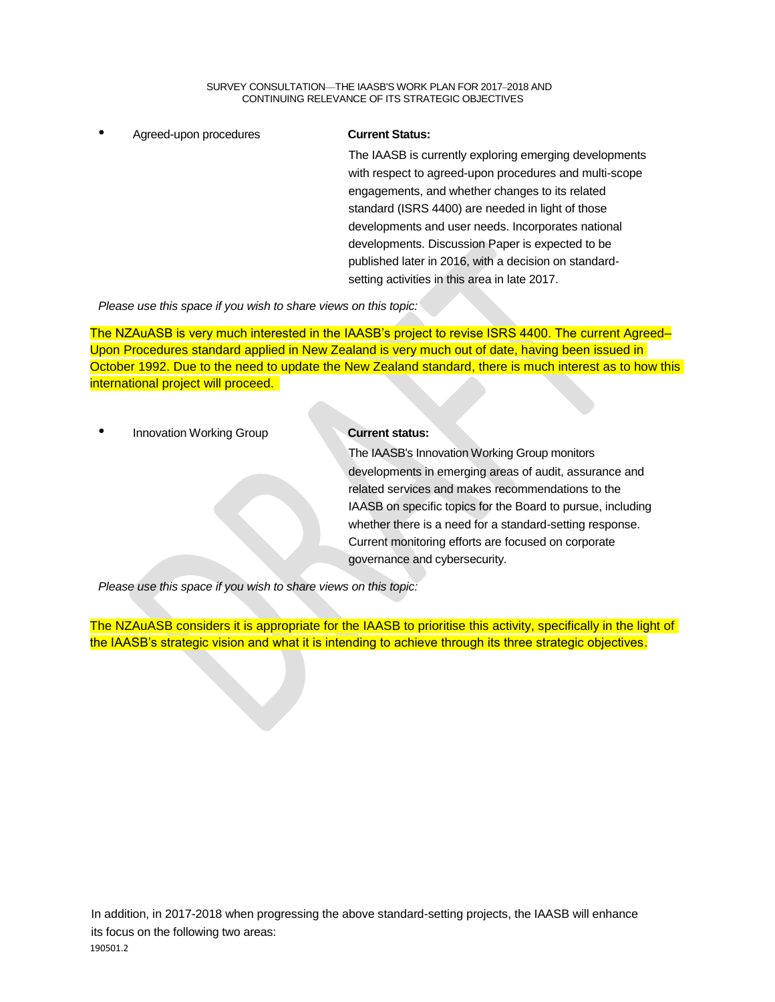• Agreed-upon procedures **Current Status:** 

The IAASB is currently exploring emerging developments with respect to agreed-upon procedures and multi-scope engagements, and whether changes to its related standard (ISRS 4400) are needed in light of those developments and user needs. Incorporates national developments. Discussion Paper is expected to be published later in 2016, with a decision on standardsetting activities in this area in late 2017.

*Please use this space if you wish to share views on this topic:* 

The NZAuASB is very much interested in the IAASB's project to revise ISRS 4400. The current Agreed– Upon Procedures standard applied in New Zealand is very much out of date, having been issued in October 1992. Due to the need to update the New Zealand standard, there is much interest as to how this international project will proceed.

**Innovation Working Group Current status:** 

The IAASB's Innovation Working Group monitors developments in emerging areas of audit, assurance and related services and makes recommendations to the IAASB on specific topics for the Board to pursue, including whether there is a need for a standard-setting response. Current monitoring efforts are focused on corporate governance and cybersecurity.

*Please use this space if you wish to share views on this topic:* 

The NZAuASB considers it is appropriate for the IAASB to prioritise this activity, specifically in the light of the IAASB's strategic vision and what it is intending to achieve through its three strategic objectives.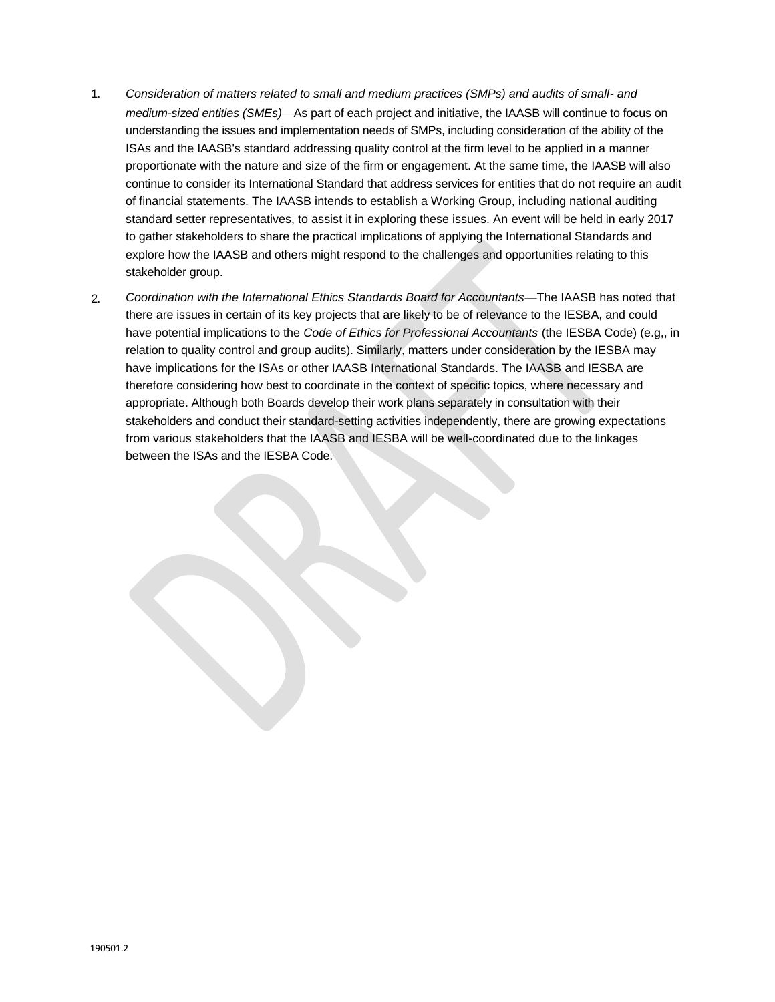- 1. *Consideration of matters related to small and medium practices (SMPs) and audits of small- and medium-sized entities (SMEs)*—As part of each project and initiative, the IAASB will continue to focus on understanding the issues and implementation needs of SMPs, including consideration of the ability of the ISAs and the IAASB's standard addressing quality control at the firm level to be applied in a manner proportionate with the nature and size of the firm or engagement. At the same time, the IAASB will also continue to consider its International Standard that address services for entities that do not require an audit of financial statements. The IAASB intends to establish a Working Group, including national auditing standard setter representatives, to assist it in exploring these issues. An event will be held in early 2017 to gather stakeholders to share the practical implications of applying the International Standards and explore how the IAASB and others might respond to the challenges and opportunities relating to this stakeholder group.
- 2. *Coordination with the International Ethics Standards Board for Accountants*—The IAASB has noted that there are issues in certain of its key projects that are likely to be of relevance to the IESBA, and could have potential implications to the *Code of Ethics for Professional Accountants* (the IESBA Code) (e.g,, in relation to quality control and group audits). Similarly, matters under consideration by the IESBA may have implications for the ISAs or other IAASB International Standards. The IAASB and IESBA are therefore considering how best to coordinate in the context of specific topics, where necessary and appropriate. Although both Boards develop their work plans separately in consultation with their stakeholders and conduct their standard-setting activities independently, there are growing expectations from various stakeholders that the IAASB and IESBA will be well-coordinated due to the linkages between the ISAs and the IESBA Code.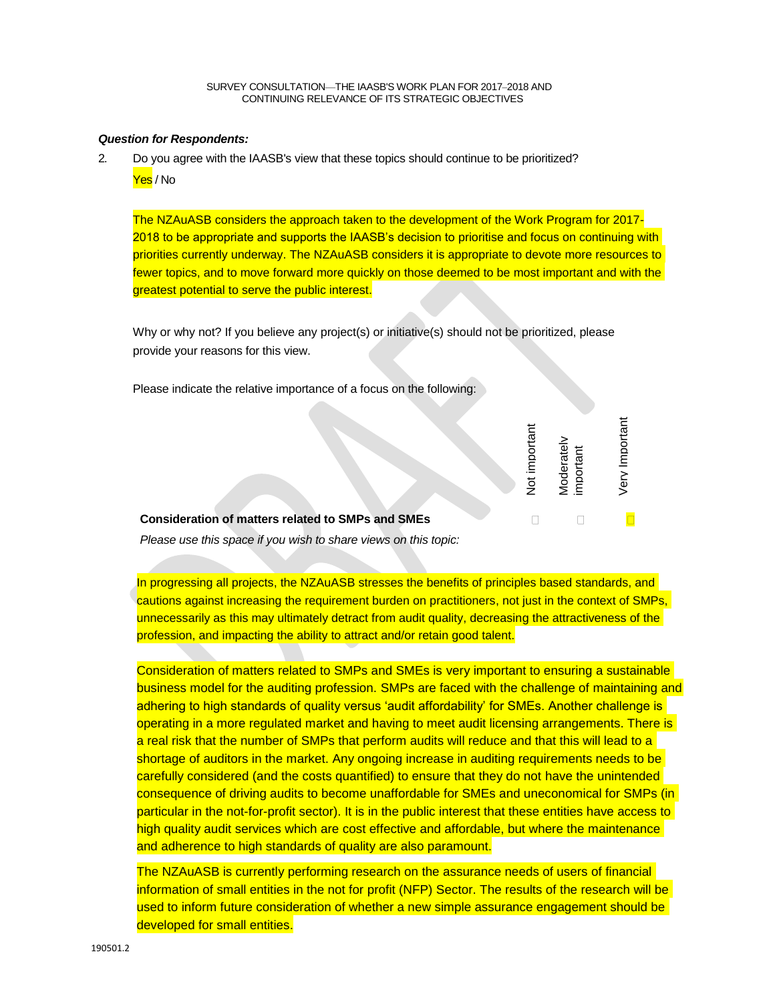# *Question for Respondents:*

2. Do you agree with the IAASB's view that these topics should continue to be prioritized? Yes / No

The NZAuASB considers the approach taken to the development of the Work Program for 2017- 2018 to be appropriate and supports the IAASB's decision to prioritise and focus on continuing with priorities currently underway. The NZAuASB considers it is appropriate to devote more resources to fewer topics, and to move forward more quickly on those deemed to be most important and with the greatest potential to serve the public interest.

Why or why not? If you believe any project(s) or initiative(s) should not be prioritized, please provide your reasons for this view.

Please indicate the relative importance of a focus on the following:

|                                                          | ā<br>$\frac{1}{2}$ | $\circ$<br>Ĕ | CD |
|----------------------------------------------------------|--------------------|--------------|----|
| <b>Consideration of matters related to SMPs and SMEs</b> |                    |              |    |

*Please use this space if you wish to share views on this topic:* 

In progressing all projects, the NZAuASB stresses the benefits of principles based standards, and cautions against increasing the requirement burden on practitioners, not just in the context of SMPs, unnecessarily as this may ultimately detract from audit quality, decreasing the attractiveness of the profession, and impacting the ability to attract and/or retain good talent.

Consideration of matters related to SMPs and SMEs is very important to ensuring a sustainable business model for the auditing profession. SMPs are faced with the challenge of maintaining and adhering to high standards of quality versus 'audit affordability' for SMEs. Another challenge is operating in a more regulated market and having to meet audit licensing arrangements. There is a real risk that the number of SMPs that perform audits will reduce and that this will lead to a shortage of auditors in the market. Any ongoing increase in auditing requirements needs to be carefully considered (and the costs quantified) to ensure that they do not have the unintended consequence of driving audits to become unaffordable for SMEs and uneconomical for SMPs (in particular in the not-for-profit sector). It is in the public interest that these entities have access to high quality audit services which are cost effective and affordable, but where the maintenance and adherence to high standards of quality are also paramount.

The NZAuASB is currently performing research on the assurance needs of users of financial information of small entities in the not for profit (NFP) Sector. The results of the research will be used to inform future consideration of whether a new simple assurance engagement should be developed for small entities.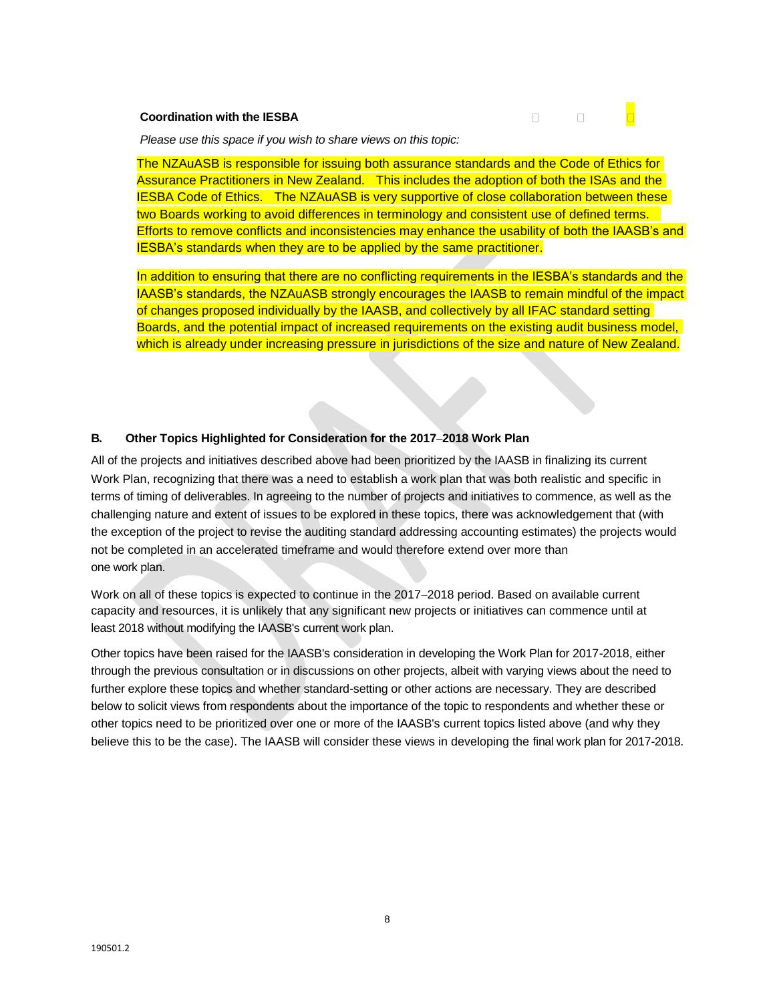# **Coordination with the IESBA**



*Please use this space if you wish to share views on this topic:* 

The NZAuASB is responsible for issuing both assurance standards and the Code of Ethics for Assurance Practitioners in New Zealand. This includes the adoption of both the ISAs and the IESBA Code of Ethics. The NZAuASB is very supportive of close collaboration between these two Boards working to avoid differences in terminology and consistent use of defined terms. Efforts to remove conflicts and inconsistencies may enhance the usability of both the IAASB's and IESBA's standards when they are to be applied by the same practitioner.

In addition to ensuring that there are no conflicting requirements in the IESBA's standards and the IAASB's standards, the NZAuASB strongly encourages the IAASB to remain mindful of the impact of changes proposed individually by the IAASB, and collectively by all IFAC standard setting Boards, and the potential impact of increased requirements on the existing audit business model, which is already under increasing pressure in jurisdictions of the size and nature of New Zealand.

# **B. Other Topics Highlighted for Consideration for the 2017‒2018 Work Plan**

All of the projects and initiatives described above had been prioritized by the IAASB in finalizing its current Work Plan, recognizing that there was a need to establish a work plan that was both realistic and specific in terms of timing of deliverables. In agreeing to the number of projects and initiatives to commence, as well as the challenging nature and extent of issues to be explored in these topics, there was acknowledgement that (with the exception of the project to revise the auditing standard addressing accounting estimates) the projects would not be completed in an accelerated timeframe and would therefore extend over more than one work plan.

Work on all of these topics is expected to continue in the 2017–2018 period. Based on available current capacity and resources, it is unlikely that any significant new projects or initiatives can commence until at least 2018 without modifying the IAASB's current work plan.

Other topics have been raised for the IAASB's consideration in developing the Work Plan for 2017-2018, either through the previous consultation or in discussions on other projects, albeit with varying views about the need to further explore these topics and whether standard-setting or other actions are necessary. They are described below to solicit views from respondents about the importance of the topic to respondents and whether these or other topics need to be prioritized over one or more of the IAASB's current topics listed above (and why they believe this to be the case). The IAASB will consider these views in developing the final work plan for 2017-2018.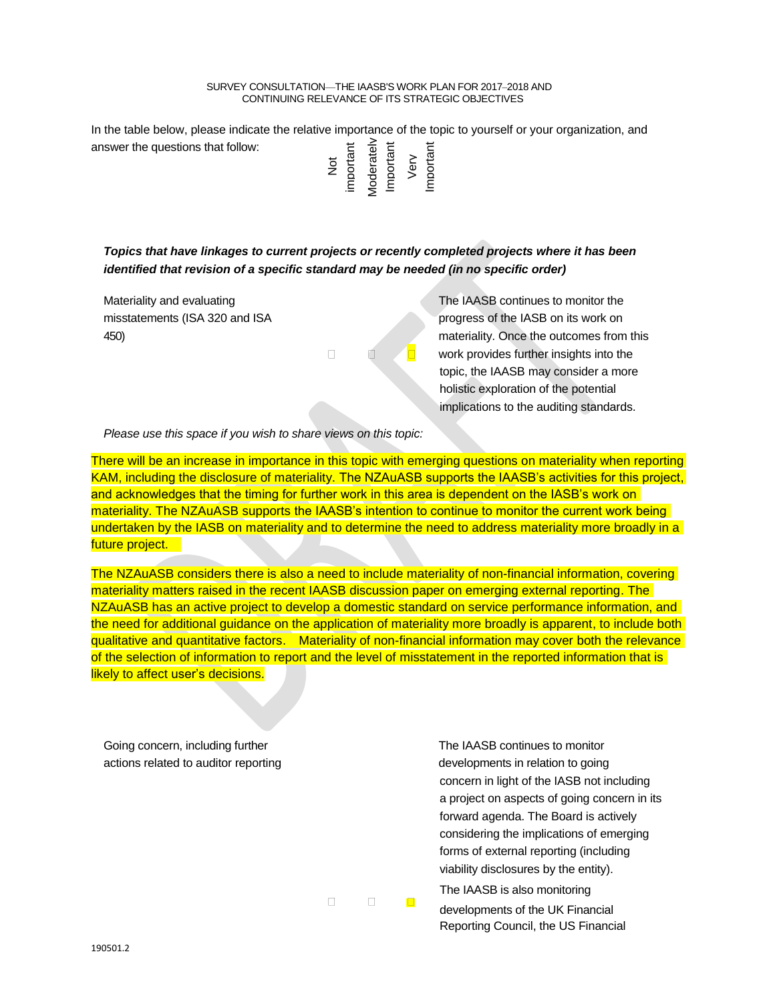In the table below, please indicate the relative importance of the topic to yourself or your organization, and answer the questions that follow:

| Moderately<br>Important<br>important<br>ă | Verv | Important |
|-------------------------------------------|------|-----------|
|-------------------------------------------|------|-----------|

*Topics that have linkages to current projects or recently completed projects where it has been identified that revision of a specific standard may be needed (in no specific order)* 

 $\Box$ 

Materiality and evaluating The IAASB continues to monitor the misstatements (ISA 320 and ISA progress of the IASB on its work on 450) materiality. Once the outcomes from this work provides further insights into the topic, the IAASB may consider a more holistic exploration of the potential implications to the auditing standards.

*Please use this space if you wish to share views on this topic:*

There will be an increase in importance in this topic with emerging questions on materiality when reporting KAM, including the disclosure of materiality. The NZAuASB supports the IAASB's activities for this project, and acknowledges that the timing for further work in this area is dependent on the IASB's work on materiality. The NZAuASB supports the IAASB's intention to continue to monitor the current work being undertaken by the IASB on materiality and to determine the need to address materiality more broadly in a future project.

The NZAuASB considers there is also a need to include materiality of non-financial information, covering materiality matters raised in the recent IAASB discussion paper on emerging external reporting. The NZAuASB has an active project to develop a domestic standard on service performance information, and the need for additional guidance on the application of materiality more broadly is apparent, to include both qualitative and quantitative factors. Materiality of non-financial information may cover both the relevance of the selection of information to report and the level of misstatement in the reported information that is likely to affect user's decisions.

| Going concern, including further     |  |  | The IAASB continues to monitor               |
|--------------------------------------|--|--|----------------------------------------------|
| actions related to auditor reporting |  |  | developments in relation to going            |
|                                      |  |  | concern in light of the IASB not including   |
|                                      |  |  | a project on aspects of going concern in its |
|                                      |  |  | forward agenda. The Board is actively        |
|                                      |  |  | considering the implications of emerging     |
|                                      |  |  | forms of external reporting (including       |
|                                      |  |  | viability disclosures by the entity).        |
|                                      |  |  | The IAASB is also monitoring                 |
|                                      |  |  | developments of the UK Financial             |
|                                      |  |  | Reporting Council, the US Financial          |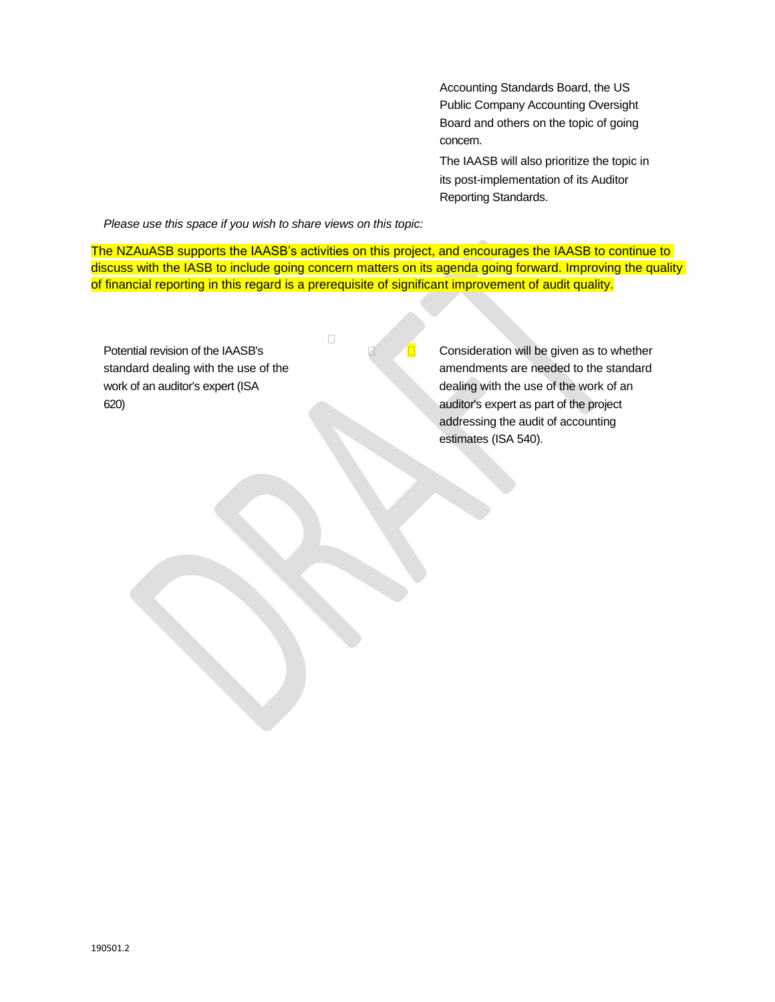Accounting Standards Board, the US Public Company Accounting Oversight Board and others on the topic of going concern.

The IAASB will also prioritize the topic in its post-implementation of its Auditor Reporting Standards.

*Please use this space if you wish to share views on this topic:* 

The NZAuASB supports the IAASB's activities on this project, and encourages the IAASB to continue to discuss with the IASB to include going concern matters on its agenda going forward. Improving the quality of financial reporting in this regard is a prerequisite of significant improvement of audit quality.

| Potential revision of the IAASB's    | Consideration will be given as to whether |
|--------------------------------------|-------------------------------------------|
| standard dealing with the use of the | amendments are needed to the standard     |
| work of an auditor's expert (ISA     | dealing with the use of the work of an    |
| 620)                                 | auditor's expert as part of the project   |
|                                      | addressing the audit of accounting        |
|                                      | estimates (ISA 540).                      |
|                                      |                                           |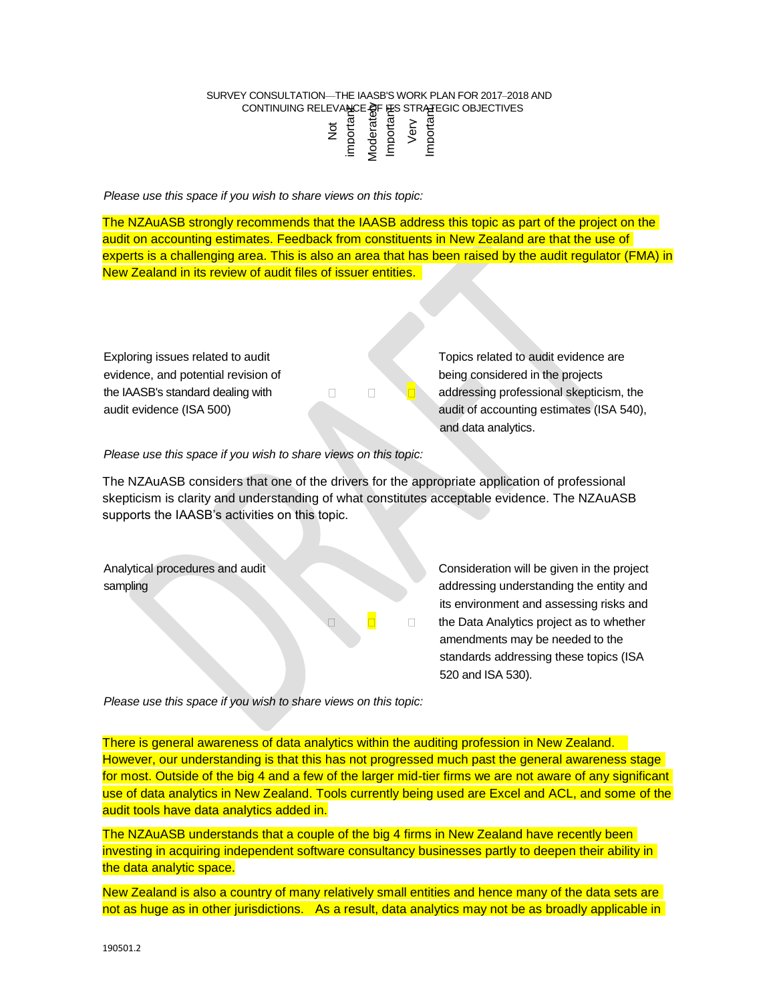# SURVEY CONSULTATION-THE IAASB'S WORK PLAN FOR 2017-2018 AND CONTINUING RELEVANCE OF THE STRATEGIC OBJECTIVES<br>  $\frac{1}{5}$  and  $\frac{1}{5}$  are  $\frac{1}{5}$  and  $\frac{1}{5}$  are  $\frac{1}{5}$  and  $\frac{1}{5}$  are  $\frac{1}{5}$  and  $\frac{1}{5}$  are  $\frac{1}{5}$  and  $\frac{1}{5}$  are  $\frac{1}{5}$  and  $\frac{1}{5}$  and  $\frac$

*Please use this space if you wish to share views on this topic:*

The NZAuASB strongly recommends that the IAASB address this topic as part of the project on the audit on accounting estimates. Feedback from constituents in New Zealand are that the use of experts is a challenging area. This is also an area that has been raised by the audit regulator (FMA) in New Zealand in its review of audit files of issuer entities.

evidence, and potential revision of being considered in the projects

Exploring issues related to audit **Exploring issues related to audit evidence** are the IAASB's standard dealing with  $\Box$   $\Box$  addressing professional skepticism, the audit evidence (ISA 500) audit of accounting estimates (ISA 540), and data analytics.

*Please use this space if you wish to share views on this topic:* 

The NZAuASB considers that one of the drivers for the appropriate application of professional skepticism is clarity and understanding of what constitutes acceptable evidence. The NZAuASB supports the IAASB's activities on this topic.

Analytical procedures and audit Consideration will be given in the project sampling and the entity and the entity and the entity and the entity and the entity and the entity and the entity and the entity and the entity and the entity and the entity and the entity and the entity and the entity and its environment and assessing risks and the Data Analytics project as to whether amendments may be needed to the standards addressing these topics (ISA 520 and ISA 530).

*Please use this space if you wish to share views on this topic:*

There is general awareness of data analytics within the auditing profession in New Zealand. However, our understanding is that this has not progressed much past the general awareness stage for most. Outside of the big 4 and a few of the larger mid-tier firms we are not aware of any significant use of data analytics in New Zealand. Tools currently being used are Excel and ACL, and some of the audit tools have data analytics added in. CONTINUNG RELEASE THE CONTINUES RESULTS THAT IS a result of the broad on the property of the strength and the strength and the strength and the strength and the strength and the strength and the strength and the strength

The NZAuASB understands that a couple of the big 4 firms in New Zealand have recently been investing in acquiring independent software consultancy businesses partly to deepen their ability in the data analytic space.

New Zealand is also a country of many relatively small entities and hence many of the data sets are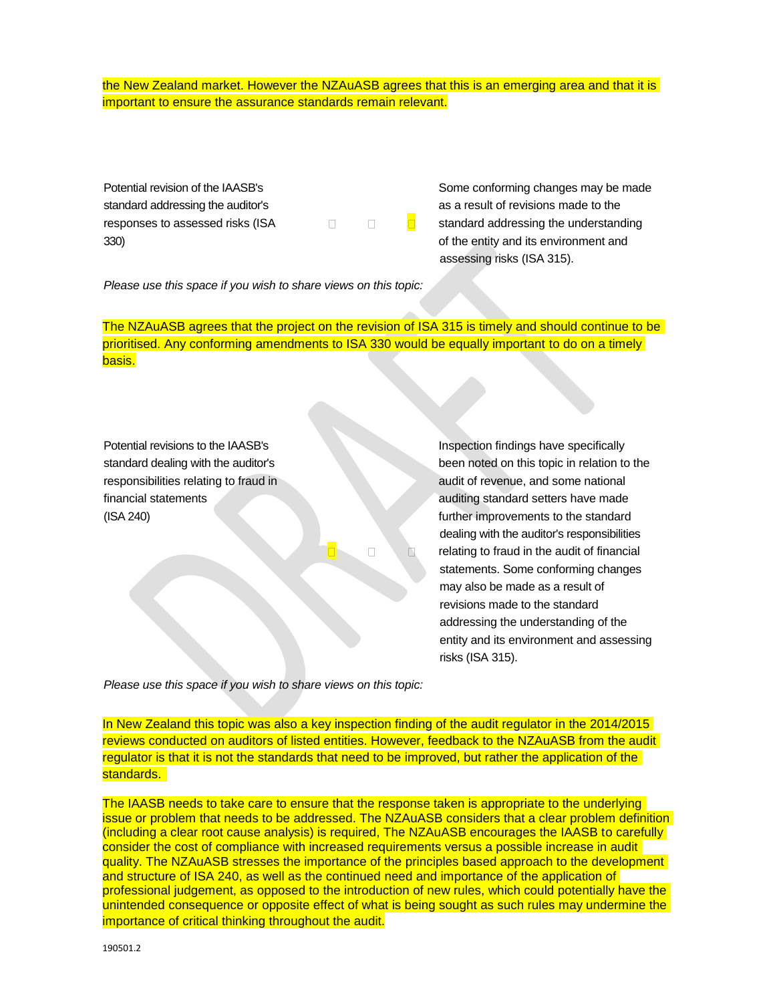the New Zealand market. However the NZAuASB agrees that this is an emerging area and that it is important to ensure the assurance standards remain relevant.

Potential revision of the IAASB's Some conforming changes may be made standard addressing the auditor's and a result of revisions made to the responses to assessed risks (ISA  $\Box$   $\Box$  standard addressing the understanding 330) of the entity and its environment and

assessing risks (ISA 315).

*Please use this space if you wish to share views on this topic:* 

The NZAuASB agrees that the project on the revision of ISA 315 is timely and should continue to be prioritised. Any conforming amendments to ISA 330 would be equally important to do on a timely basis.

Potential revisions to the IAASB's **Inspection findings have specifically** 

standard dealing with the auditor's been noted on this topic in relation to the responsibilities relating to fraud in and some national audit of revenue, and some national financial statements and the statements and the standard setters have made (ISA 240) **further improvements to the standard** dealing with the auditor's responsibilities relating to fraud in the audit of financial statements. Some conforming changes may also be made as a result of revisions made to the standard addressing the understanding of the entity and its environment and assessing risks (ISA 315).

*Please use this space if you wish to share views on this topic:*

In New Zealand this topic was also a key inspection finding of the audit regulator in the 2014/2015 reviews conducted on auditors of listed entities. However, feedback to the NZAuASB from the audit regulator is that it is not the standards that need to be improved, but rather the application of the standards.

The IAASB needs to take care to ensure that the response taken is appropriate to the underlying issue or problem that needs to be addressed. The NZAuASB considers that a clear problem definition (including a clear root cause analysis) is required, The NZAuASB encourages the IAASB to carefully consider the cost of compliance with increased requirements versus a possible increase in audit quality. The NZAuASB stresses the importance of the principles based approach to the development and structure of ISA 240, as well as the continued need and importance of the application of professional judgement, as opposed to the introduction of new rules, which could potentially have the unintended consequence or opposite effect of what is being sought as such rules may undermine the importance of critical thinking throughout the audit.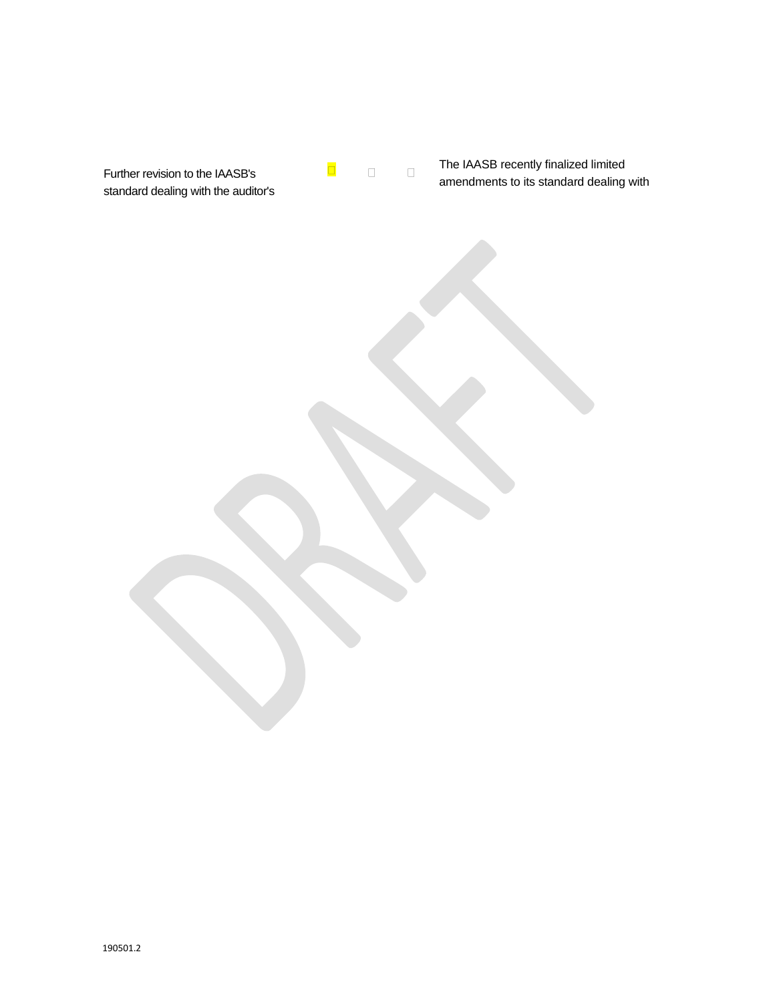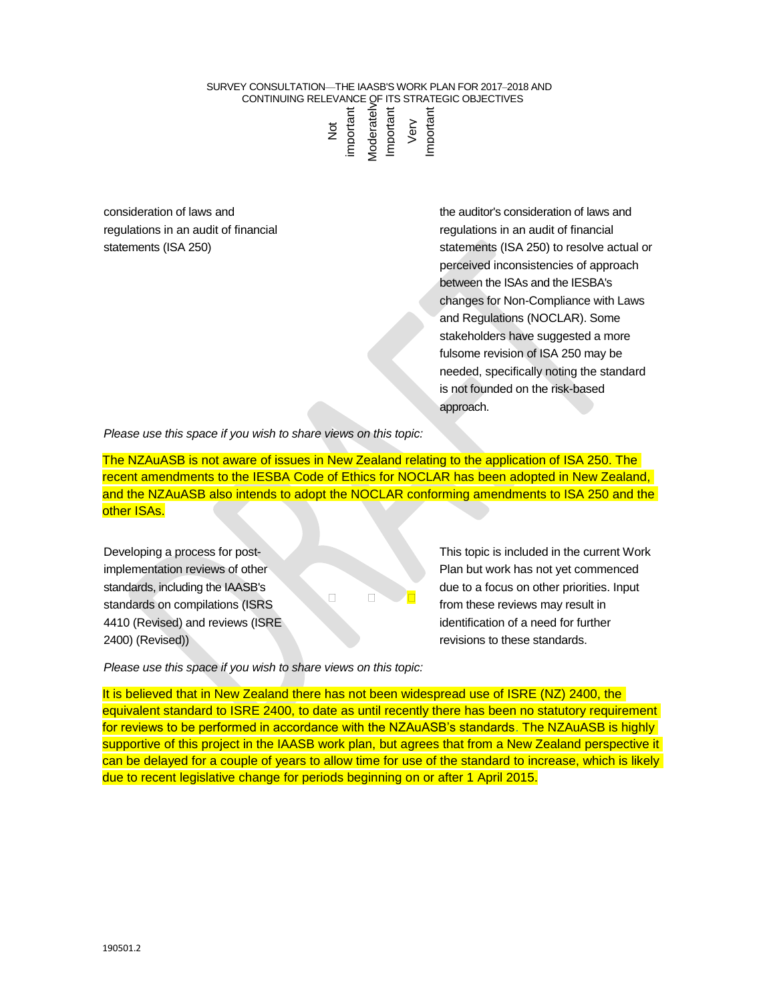consideration of laws and regulations in an audit of financial statements (ISA 250)

the auditor's consideration of laws and regulations in an audit of financial statements (ISA 250) to resolve actual or perceived inconsistencies of approach between the ISAs and the IESBA's changes for Non-Compliance with Laws and Regulations (NOCLAR). Some stakeholders have suggested a more fulsome revision of ISA 250 may be needed, specifically noting the standard is not founded on the risk-based approach.

*Please use this space if you wish to share views on this topic:*

The NZAuASB is not aware of issues in New Zealand relating to the application of ISA 250. The recent amendments to the IESBA Code of Ethics for NOCLAR has been adopted in New Zealand, and the NZAuASB also intends to adopt the NOCLAR conforming amendments to ISA 250 and the other ISAs.

Developing a process for postimplementation reviews of other standards, including the IAASB's standards on compilations (ISRS 4410 (Revised) and reviews (ISRE 2400) (Revised))

This topic is included in the current Work Plan but work has not yet commenced due to a focus on other priorities. Input from these reviews may result in identification of a need for further revisions to these standards.

*Please use this space if you wish to share views on this topic:* 

It is believed that in New Zealand there has not been widespread use of ISRE (NZ) 2400, the equivalent standard to ISRE 2400, to date as until recently there has been no statutory requirement for reviews to be performed in accordance with the NZAuASB's standards. The NZAuASB is highly supportive of this project in the IAASB work plan, but agrees that from a New Zealand perspective it can be delayed for a couple of years to allow time for use of the standard to increase, which is likely Columbus to receive change for the control of the recent of the section of the method on the method on the method on the method on the method on the method on the method on the method on the signal of the received inconde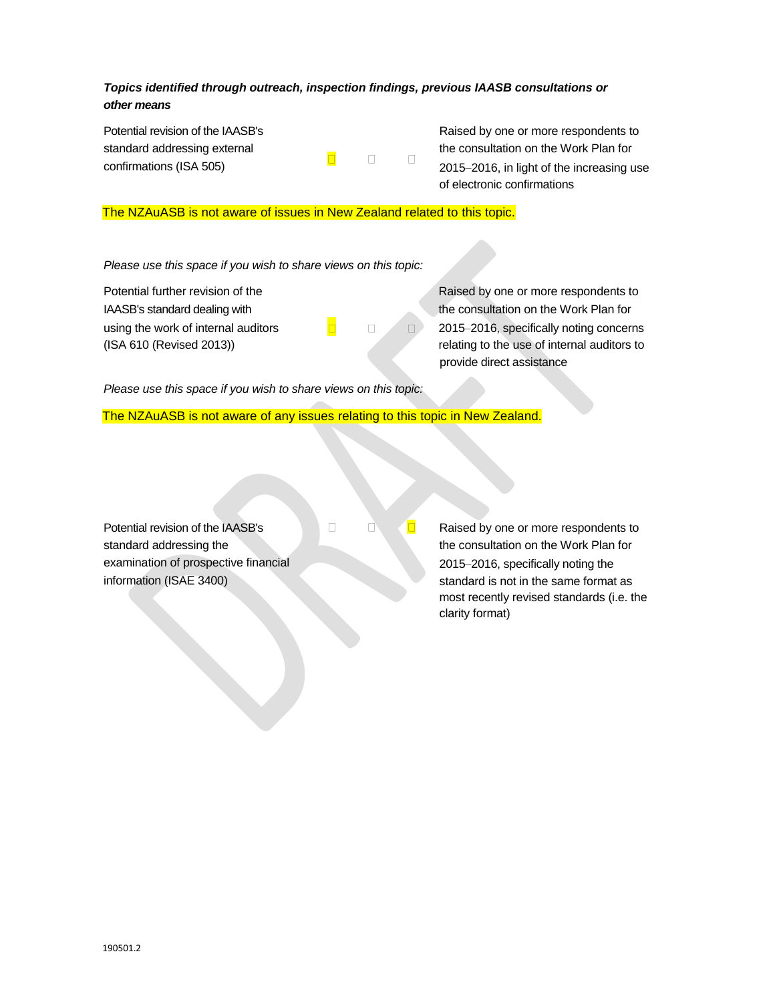# *Topics identified through outreach, inspection findings, previous IAASB consultations or other means*

 $\Box$ 

 $\Box$ 

Potential revision of the IAASB's standard addressing external confirmations (ISA 505)

Raised by one or more respondents to the consultation on the Work Plan for 2015–2016, in light of the increasing use of electronic confirmations

# The NZAuASB is not aware of issues in New Zealand related to this topic.

*Please use this space if you wish to share views on this topic:* 

Potential further revision of the Raised by one or more respondents to

IAASB's standard dealing with the consultation on the Work Plan for using the work of internal auditors  $\Box$   $\Box$  2015–2016, specifically noting concerns (ISA 610 (Revised 2013)) relating to the use of internal auditors to provide direct assistance

*Please use this space if you wish to share views on this topic:*

The NZAuASB is not aware of any issues relating to this topic in New Zealand.

 $\Box$ 

Potential revision of the IAASB's standard addressing the examination of prospective financial information (ISAE 3400)

Raised by one or more respondents to the consultation on the Work Plan for 2015-2016, specifically noting the standard is not in the same format as most recently revised standards (i.e. the clarity format)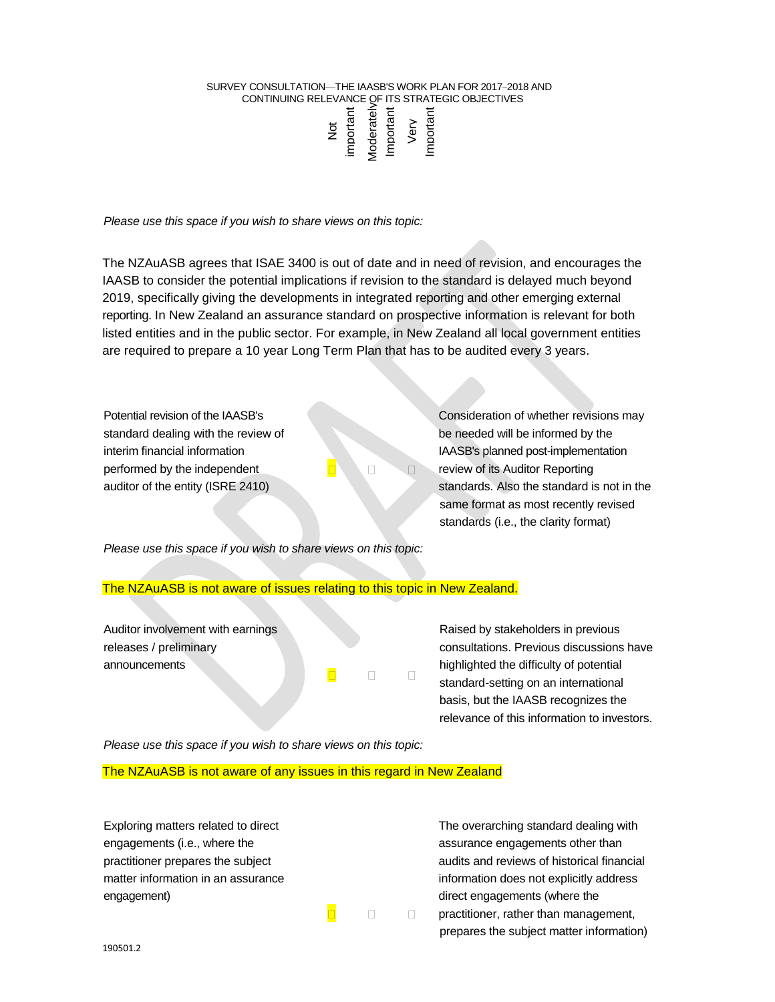#### SURVEY CONSULTATION—THE IAASB'S WORK PLAN FOR 2017-2018 AND CONTINUING RELEVANCE OF ITS STRATEGIC OBJECTIVES Moderately Important important loderately mportan Very Not

*Please use this space if you wish to share views on this topic:* 

The NZAuASB agrees that ISAE 3400 is out of date and in need of revision, and encourages the IAASB to consider the potential implications if revision to the standard is delayed much beyond 2019, specifically giving the developments in integrated reporting and other emerging external reporting. In New Zealand an assurance standard on prospective information is relevant for both listed entities and in the public sector. For example, in New Zealand all local government entities are required to prepare a 10 year Long Term Plan that has to be audited every 3 years.

 $\Box$ 

 $\Box$ 

 $\Box$ 

 $\Box$ 

standard dealing with the review of be needed will be informed by the performed by the independent  $\Box$   $\Box$  review of its Auditor Reporting

Potential revision of the IAASB's Consideration of whether revisions may interim financial information IAASB's planned post-implementation auditor of the entity (ISRE 2410) standards. Also the standard is not in the same format as most recently revised standards (i.e., the clarity format)

*Please use this space if you wish to share views on this topic:*

# The NZAuASB is not aware of issues relating to this topic in New Zealand.

Auditor involvement with earnings releases / preliminary announcements

Raised by stakeholders in previous consultations. Previous discussions have highlighted the difficulty of potential standard-setting on an international basis, but the IAASB recognizes the relevance of this information to investors.

*Please use this space if you wish to share views on this topic:* 

The NZAuASB is not aware of any issues in this regard in New Zealand

Exploring matters related to direct The overarching standard dealing with engagements (i.e., where the assurance engagements other than engagement) engagements (where the contract engagements (where the contract engagements (where the contract engagements (where the contract engagements (where the contract engagements (where the contract engagements (where

practitioner prepares the subject and reviews of historical financial financial matter information in an assurance in the information does not explicitly address practitioner, rather than management, prepares the subject matter information)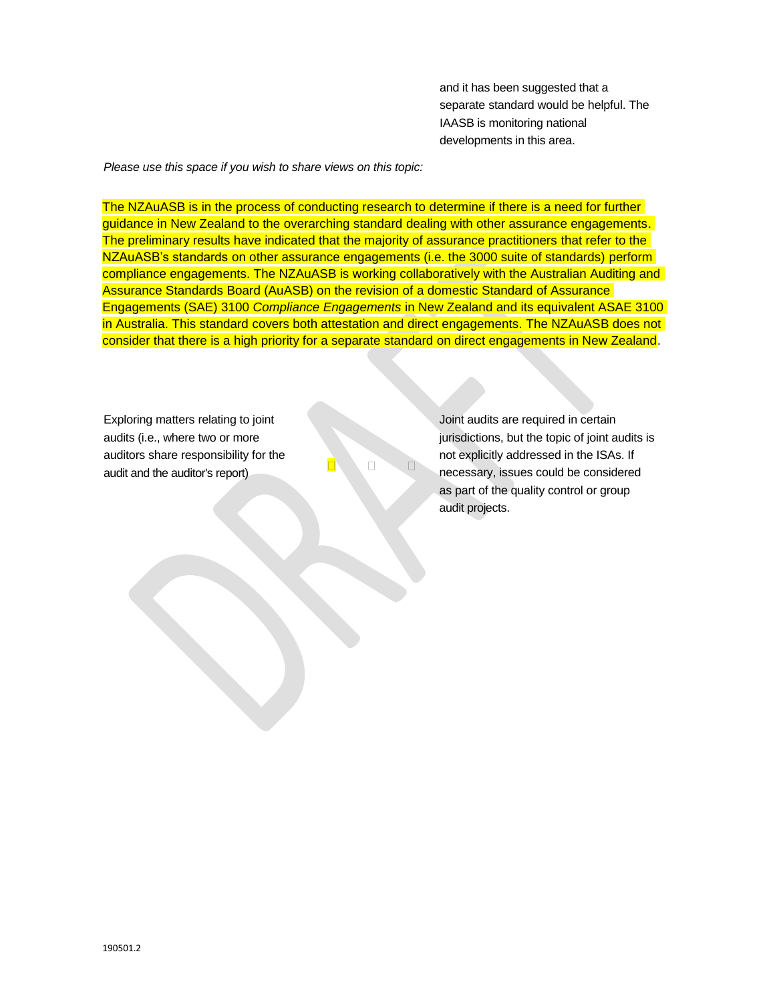and it has been suggested that a separate standard would be helpful. The IAASB is monitoring national developments in this area.

*Please use this space if you wish to share views on this topic:* 

The NZAuASB is in the process of conducting research to determine if there is a need for further guidance in New Zealand to the overarching standard dealing with other assurance engagements. The preliminary results have indicated that the majority of assurance practitioners that refer to the NZAuASB's standards on other assurance engagements (i.e. the 3000 suite of standards) perform compliance engagements. The NZAuASB is working collaboratively with the Australian Auditing and Assurance Standards Board (AuASB) on the revision of a domestic Standard of Assurance Engagements (SAE) 3100 *Compliance Engagements* in New Zealand and its equivalent ASAE 3100 in Australia. This standard covers both attestation and direct engagements. The NZAuASB does not consider that there is a high priority for a separate standard on direct engagements in New Zealand.

Exploring matters relating to joint audits (i.e., where two or more auditors share responsibility for the audit and the auditor's report)

Joint audits are required in certain jurisdictions, but the topic of joint audits is not explicitly addressed in the ISAs. If necessary, issues could be considered as part of the quality control or group audit projects.